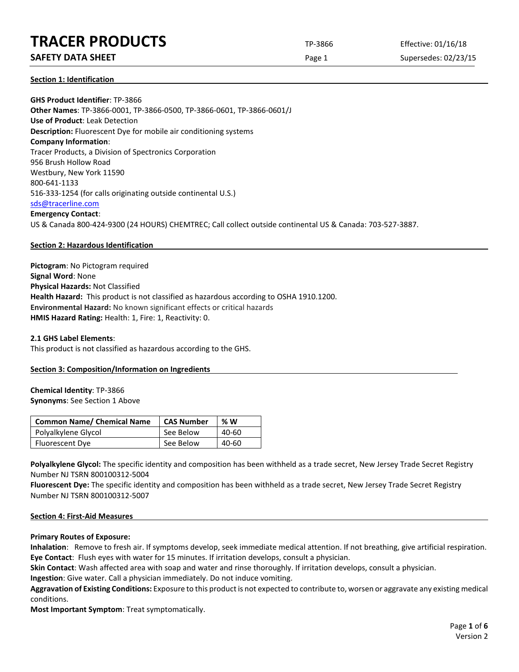# **SAFETY DATA SHEET** SUPERFOUR CONSUMING THE Page 1 Supersedes: 02/23/15

### **Section 1: Identification**

**GHS Product Identifier**: TP-3866 **Other Names**: TP-3866-0001, TP-3866-0500, TP-3866-0601, TP-3866-0601/J **Use of Product**: Leak Detection **Description:** Fluorescent Dye for mobile air conditioning systems **Company Information**: Tracer Products, a Division of Spectronics Corporation 956 Brush Hollow Road Westbury, New York 11590 800-641-1133 516-333-1254 (for calls originating outside continental U.S.) [sds@tracerline.com](mailto:sds@tracerline.com) **Emergency Contact**: US & Canada 800-424-9300 (24 HOURS) CHEMTREC; Call collect outside continental US & Canada: 703-527-3887.

### **Section 2: Hazardous Identification**

**Pictogram**: No Pictogram required **Signal Word**: None **Physical Hazards:** Not Classified **Health Hazard:** This product is not classified as hazardous according to OSHA 1910.1200. **Environmental Hazard:** No known significant effects or critical hazards **HMIS Hazard Rating:** Health: 1, Fire: 1, Reactivity: 0.

### **2.1 GHS Label Elements**:

This product is not classified as hazardous according to the GHS.

### **Section 3: Composition/Information on Ingredients**

### **Chemical Identity**: TP-3866 **Synonyms**: See Section 1 Above

| <b>Common Name/ Chemical Name</b> | <b>CAS Number</b> | % W   |
|-----------------------------------|-------------------|-------|
| Polyalkylene Glycol               | See Below         | 40-60 |
| Fluorescent Dye                   | See Below         | 40-60 |

Polyalkylene Glycol: The specific identity and composition has been withheld as a trade secret, New Jersey Trade Secret Registry Number NJ TSRN 800100312-5004

**Fluorescent Dye:** The specific identity and composition has been withheld as a trade secret, New Jersey Trade Secret Registry Number NJ TSRN 800100312-5007

### **Section 4: First-Aid Measures**

### **Primary Routes of Exposure:**

**Inhalation**: Remove to fresh air. If symptoms develop, seek immediate medical attention. If not breathing, give artificial respiration. **Eye Contact**: Flush eyes with water for 15 minutes. If irritation develops, consult a physician.

**Skin Contact**: Wash affected area with soap and water and rinse thoroughly. If irritation develops, consult a physician.

**Ingestion**: Give water. Call a physician immediately. Do not induce vomiting.

**Aggravation of Existing Conditions:** Exposure to this product is not expected to contribute to, worsen or aggravate any existing medical conditions.

**Most Important Symptom**: Treat symptomatically.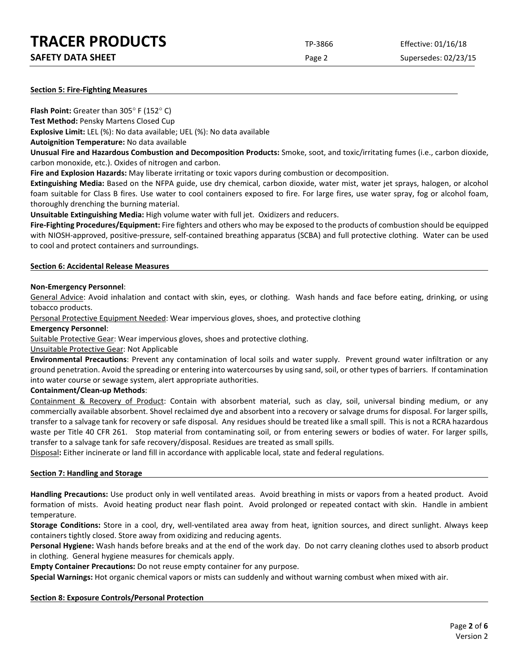| <b>SAFETY DATA SHEET</b> |  |
|--------------------------|--|
|                          |  |

Page 2 Supersedes: 02/23/15

### **Section 5: Fire-Fighting Measures**

**Flash Point:** Greater than 305° F (152° C)

**Test Method:** Pensky Martens Closed Cup

**Explosive Limit:** LEL (%): No data available; UEL (%): No data available

**Autoignition Temperature:** No data available

**Unusual Fire and Hazardous Combustion and Decomposition Products:** Smoke, soot, and toxic/irritating fumes (i.e., carbon dioxide, carbon monoxide, etc.). Oxides of nitrogen and carbon.

**Fire and Explosion Hazards:** May liberate irritating or toxic vapors during combustion or decomposition.

**Extinguishing Media:** Based on the NFPA guide, use dry chemical, carbon dioxide, water mist, water jet sprays, halogen, or alcohol foam suitable for Class B fires. Use water to cool containers exposed to fire. For large fires, use water spray, fog or alcohol foam, thoroughly drenching the burning material.

**Unsuitable Extinguishing Media:** High volume water with full jet. Oxidizers and reducers.

**Fire-Fighting Procedures/Equipment:** Fire fighters and others who may be exposed to the products of combustion should be equipped with NIOSH-approved, positive-pressure, self-contained breathing apparatus (SCBA) and full protective clothing. Water can be used to cool and protect containers and surroundings.

### **Section 6: Accidental Release Measures**

## **Non-Emergency Personnel**:

General Advice: Avoid inhalation and contact with skin, eyes, or clothing. Wash hands and face before eating, drinking, or using tobacco products.

Personal Protective Equipment Needed: Wear impervious gloves, shoes, and protective clothing

### **Emergency Personnel**:

Suitable Protective Gear: Wear impervious gloves, shoes and protective clothing.

Unsuitable Protective Gear: Not Applicable

**Environmental Precautions**: Prevent any contamination of local soils and water supply. Prevent ground water infiltration or any ground penetration. Avoid the spreading or entering into watercourses by using sand, soil, or other types of barriers. If contamination into water course or sewage system, alert appropriate authorities.

### **Containment/Clean-up Methods**:

Containment & Recovery of Product: Contain with absorbent material, such as clay, soil, universal binding medium, or any commercially available absorbent. Shovel reclaimed dye and absorbent into a recovery or salvage drums for disposal. For larger spills, transfer to a salvage tank for recovery or safe disposal. Any residues should be treated like a small spill. This is not a RCRA hazardous waste per Title 40 CFR 261. Stop material from contaminating soil, or from entering sewers or bodies of water. For larger spills, transfer to a salvage tank for safe recovery/disposal. Residues are treated as small spills.

Disposal**:** Either incinerate or land fill in accordance with applicable local, state and federal regulations.

### **Section 7: Handling and Storage**

**Handling Precautions:** Use product only in well ventilated areas. Avoid breathing in mists or vapors from a heated product. Avoid formation of mists. Avoid heating product near flash point. Avoid prolonged or repeated contact with skin. Handle in ambient temperature.

**Storage Conditions:** Store in a cool, dry, well-ventilated area away from heat, ignition sources, and direct sunlight. Always keep containers tightly closed. Store away from oxidizing and reducing agents.

**Personal Hygiene:** Wash hands before breaks and at the end of the work day. Do not carry cleaning clothes used to absorb product in clothing. General hygiene measures for chemicals apply.

**Empty Container Precautions:** Do not reuse empty container for any purpose.

**Special Warnings:** Hot organic chemical vapors or mists can suddenly and without warning combust when mixed with air.

# **Section 8: Exposure Controls/Personal Protection**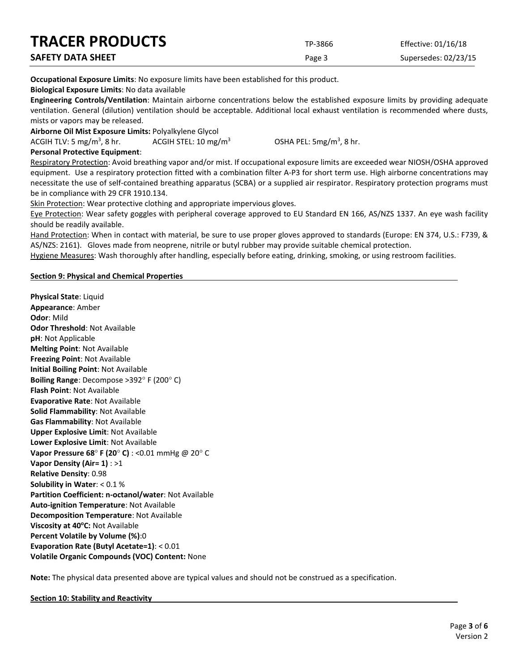| <b>TRACER PRODUCTS</b>   | TP-3866 | Effective: 01/16/18  |
|--------------------------|---------|----------------------|
| <b>SAFETY DATA SHEET</b> | Page 3  | Supersedes: 02/23/15 |

**Occupational Exposure Limits**: No exposure limits have been established for this product.

**Biological Exposure Limits**: No data available

**Engineering Controls/Ventilation**: Maintain airborne concentrations below the established exposure limits by providing adequate ventilation. General (dilution) ventilation should be acceptable. Additional local exhaust ventilation is recommended where dusts, mists or vapors may be released.

**Airborne Oil Mist Exposure Limits:** Polyalkylene Glycol

ACGIH TLV: 5 mg/m<sup>3</sup>, 8 hr. ACGIH STEL:  $10 \, \text{mg/m}^3$  OSHA PEL:  $5mg/m<sup>3</sup>$ , 8 hr.

### **Personal Protective Equipment**:

Respiratory Protection: Avoid breathing vapor and/or mist. If occupational exposure limits are exceeded wear NIOSH/OSHA approved equipment. Use a respiratory protection fitted with a combination filter A-P3 for short term use. High airborne concentrations may necessitate the use of self-contained breathing apparatus (SCBA) or a supplied air respirator. Respiratory protection programs must be in compliance with 29 CFR 1910.134.

Skin Protection: Wear protective clothing and appropriate impervious gloves.

Eye Protection: Wear safety goggles with peripheral coverage approved to EU Standard EN 166, AS/NZS 1337. An eye wash facility should be readily available.

Hand Protection: When in contact with material, be sure to use proper gloves approved to standards (Europe: EN 374, U.S.: F739, & AS/NZS: 2161). Gloves made from neoprene, nitrile or butyl rubber may provide suitable chemical protection.

Hygiene Measures: Wash thoroughly after handling, especially before eating, drinking, smoking, or using restroom facilities.

## **Section 9: Physical and Chemical Properties**

**Physical State**: Liquid **Appearance**: Amber **Odor**: Mild **Odor Threshold**: Not Available **pH**: Not Applicable **Melting Point**: Not Available **Freezing Point**: Not Available **Initial Boiling Point**: Not Available **Boiling Range**: Decompose >392° F (200° C) **Flash Point**: Not Available **Evaporative Rate**: Not Available **Solid Flammability**: Not Available **Gas Flammability**: Not Available **Upper Explosive Limit**: Not Available **Lower Explosive Limit**: Not Available **Vapor Pressure 68**° **F (20**° **C)** : <0.01 mmHg @ 20° C **Vapor Density (Air= 1)** : >1 **Relative Density**: 0.98 **Solubility in Water**: < 0.1 % **Partition Coefficient: n-octanol/water**: Not Available **Auto-ignition Temperature**: Not Available **Decomposition Temperature**: Not Available **Viscosity at 40°C: Not Available Percent Volatile by Volume (%)**:0 **Evaporation Rate (Butyl Acetate=1)**: < 0.01 **Volatile Organic Compounds (VOC) Content:** None

**Note:** The physical data presented above are typical values and should not be construed as a specification.

**Section 10: Stability and Reactivity**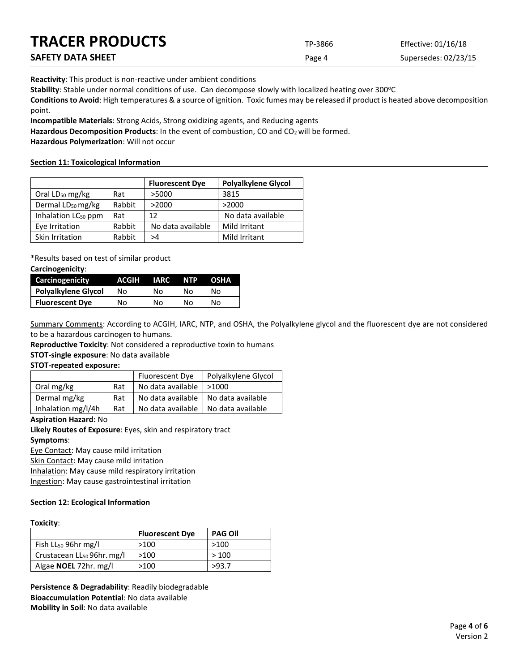| <b>TRACER PRODUCTS</b> | TP-3866 | Effective: 01/16/18  |
|------------------------|---------|----------------------|
| SAFETY DATA SHEET      | Page 4  | Supersedes: 02/23/15 |

**Reactivity**: This product is non-reactive under ambient conditions

Stability: Stable under normal conditions of use. Can decompose slowly with localized heating over 300°C

**Conditions to Avoid**: High temperatures & a source of ignition. Toxic fumes may be released if product is heated above decomposition point.

**Incompatible Materials**: Strong Acids, Strong oxidizing agents, and Reducing agents

Hazardous Decomposition Products: In the event of combustion, CO and CO<sub>2</sub> will be formed.

**Hazardous Polymerization**: Will not occur

### **Section 11: Toxicological Information**

|                                 |        | <b>Fluorescent Dye</b> | <b>Polyalkylene Glycol</b> |
|---------------------------------|--------|------------------------|----------------------------|
| Oral $LD_{50}$ mg/kg            | Rat    | >5000                  | 3815                       |
| Dermal LD <sub>50</sub> mg/kg   | Rabbit | >2000                  | >2000                      |
| Inhalation LC <sub>50</sub> ppm | Rat    | 12                     | No data available          |
| Eye Irritation                  | Rabbit | No data available      | Mild Irritant              |
| Skin Irritation                 | Rabbit | >4                     | Mild Irritant              |

\*Results based on test of similar product

### **Carcinogenicity**:

| Carcinogenicity            | ACGIH | IARC | <b>NTP</b> | <b>OSHA</b> |
|----------------------------|-------|------|------------|-------------|
| <b>Polyalkylene Glycol</b> | No    | N٥   | N٥         | N٥          |
| <b>Fluorescent Dye</b>     | No    | N٥   | N٥         | N٥          |

Summary Comments: According to ACGIH, IARC, NTP, and OSHA, the Polyalkylene glycol and the fluorescent dye are not considered to be a hazardous carcinogen to humans.

**Reproductive Toxicity**: Not considered a reproductive toxin to humans

**STOT-single exposure**: No data available

### **STOT-repeated exposure:**

|                    |     | Fluorescent Dye   | Polyalkylene Glycol |
|--------------------|-----|-------------------|---------------------|
| Oral mg/kg         | Rat | No data available | >1000               |
| Dermal mg/kg       | Rat | No data available | No data available   |
| Inhalation mg/l/4h | Rat | No data available | No data available   |

### **Aspiration Hazard:** No

**Likely Routes of Exposure**: Eyes, skin and respiratory tract **Symptoms**:

Eye Contact: May cause mild irritation

Skin Contact: May cause mild irritation

Inhalation: May cause mild respiratory irritation

Ingestion: May cause gastrointestinal irritation

### **Section 12: Ecological Information**

### **Toxicity**:

|                                        | <b>Fluorescent Dye</b> | <b>PAG Oil</b> |
|----------------------------------------|------------------------|----------------|
| Fish $LL_{50}$ 96hr mg/l               | >100                   | >100           |
| Crustacean LL <sub>50</sub> 96hr. mg/l | >100                   | >100           |
| Algae <b>NOEL</b> 72hr. mg/l           | >100                   | >93.7          |

**Persistence & Degradability**: Readily biodegradable **Bioaccumulation Potential**: No data available **Mobility in Soil**: No data available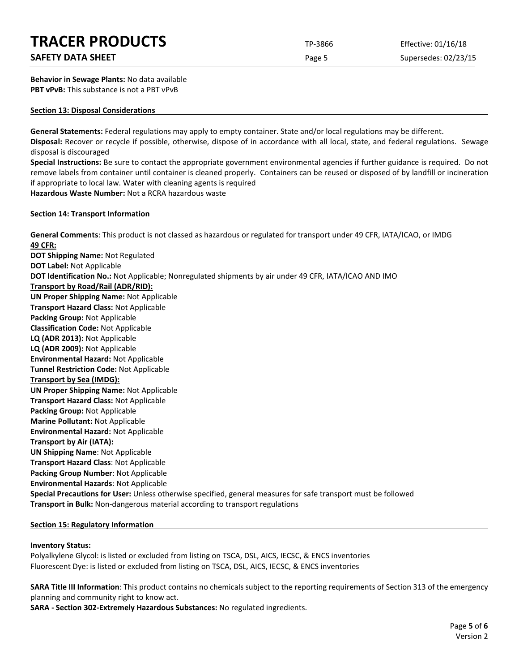# **SAFETY DATA SHEET** SUPERFOUR SAFET ASSESSED A REPORT OF Page 5 Supersedes: 02/23/15

**Behavior in Sewage Plants:** No data available **PBT vPvB:** This substance is not a PBT vPvB

### **Section 13: Disposal Considerations**

**General Statements:** Federal regulations may apply to empty container. State and/or local regulations may be different. **Disposal:** Recover or recycle if possible, otherwise, dispose of in accordance with all local, state, and federal regulations. Sewage disposal is discouraged

**Special Instructions:** Be sure to contact the appropriate government environmental agencies if further guidance is required. Do not remove labels from container until container is cleaned properly. Containers can be reused or disposed of by landfill or incineration if appropriate to local law. Water with cleaning agents is required **Hazardous Waste Number:** Not a RCRA hazardous waste

**Section 14: Transport Information**

**General Comments**: This product is not classed as hazardous or regulated for transport under 49 CFR, IATA/ICAO, or IMDG **49 CFR: DOT Shipping Name:** Not Regulated **DOT Label:** Not Applicable **DOT Identification No.:** Not Applicable; Nonregulated shipments by air under 49 CFR, IATA/ICAO AND IMO **Transport by Road/Rail (ADR/RID): UN Proper Shipping Name:** Not Applicable **Transport Hazard Class:** Not Applicable **Packing Group:** Not Applicable **Classification Code:** Not Applicable **LQ (ADR 2013):** Not Applicable **LQ (ADR 2009):** Not Applicable **Environmental Hazard:** Not Applicable **Tunnel Restriction Code:** Not Applicable **Transport by Sea (IMDG): UN Proper Shipping Name:** Not Applicable **Transport Hazard Class:** Not Applicable **Packing Group:** Not Applicable **Marine Pollutant:** Not Applicable **Environmental Hazard:** Not Applicable **Transport by Air (IATA): UN Shipping Name**: Not Applicable **Transport Hazard Class**: Not Applicable **Packing Group Number**: Not Applicable **Environmental Hazards**: Not Applicable **Special Precautions for User:** Unless otherwise specified, general measures for safe transport must be followed **Transport in Bulk:** Non-dangerous material according to transport regulations

### **Section 15: Regulatory Information**

### **Inventory Status:**

Polyalkylene Glycol: is listed or excluded from listing on TSCA, DSL, AICS, IECSC, & ENCS inventories Fluorescent Dye: is listed or excluded from listing on TSCA, DSL, AICS, IECSC, & ENCS inventories

**SARA Title III Information**: This product contains no chemicals subject to the reporting requirements of Section 313 of the emergency planning and community right to know act.

**SARA - Section 302-Extremely Hazardous Substances:** No regulated ingredients.